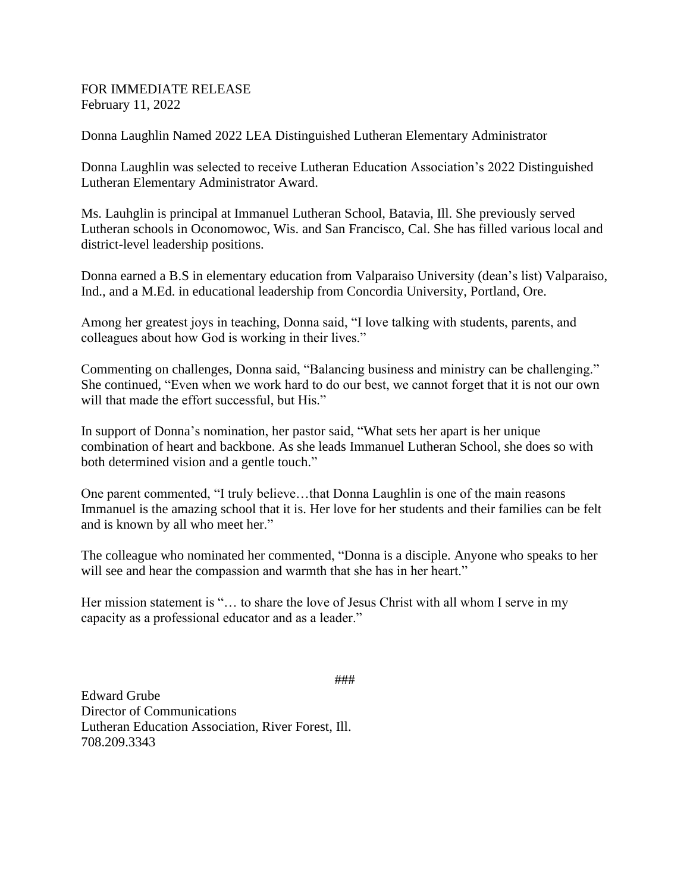FOR IMMEDIATE RELEASE February 11, 2022

Donna Laughlin Named 2022 LEA Distinguished Lutheran Elementary Administrator

Donna Laughlin was selected to receive Lutheran Education Association's 2022 Distinguished Lutheran Elementary Administrator Award.

Ms. Lauhglin is principal at Immanuel Lutheran School, Batavia, Ill. She previously served Lutheran schools in Oconomowoc, Wis. and San Francisco, Cal. She has filled various local and district-level leadership positions.

Donna earned a B.S in elementary education from Valparaiso University (dean's list) Valparaiso, Ind., and a M.Ed. in educational leadership from Concordia University, Portland, Ore.

Among her greatest joys in teaching, Donna said, "I love talking with students, parents, and colleagues about how God is working in their lives."

Commenting on challenges, Donna said, "Balancing business and ministry can be challenging." She continued, "Even when we work hard to do our best, we cannot forget that it is not our own will that made the effort successful, but His."

In support of Donna's nomination, her pastor said, "What sets her apart is her unique combination of heart and backbone. As she leads Immanuel Lutheran School, she does so with both determined vision and a gentle touch."

One parent commented, "I truly believe…that Donna Laughlin is one of the main reasons Immanuel is the amazing school that it is. Her love for her students and their families can be felt and is known by all who meet her."

The colleague who nominated her commented, "Donna is a disciple. Anyone who speaks to her will see and hear the compassion and warmth that she has in her heart."

Her mission statement is "... to share the love of Jesus Christ with all whom I serve in my capacity as a professional educator and as a leader."

###

Edward Grube Director of Communications Lutheran Education Association, River Forest, Ill. 708.209.3343